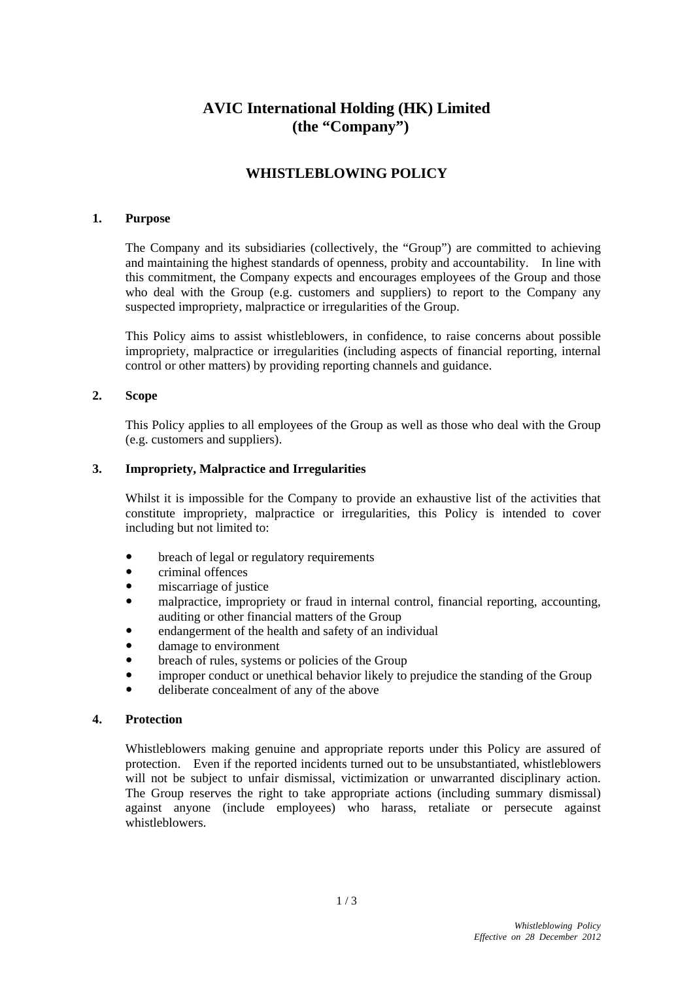# **AVIC International Holding (HK) Limited (the "Company")**

## **WHISTLEBLOWING POLICY**

#### **1. Purpose**

The Company and its subsidiaries (collectively, the "Group") are committed to achieving and maintaining the highest standards of openness, probity and accountability. In line with this commitment, the Company expects and encourages employees of the Group and those who deal with the Group (e.g. customers and suppliers) to report to the Company any suspected impropriety, malpractice or irregularities of the Group.

This Policy aims to assist whistleblowers, in confidence, to raise concerns about possible impropriety, malpractice or irregularities (including aspects of financial reporting, internal control or other matters) by providing reporting channels and guidance.

### **2. Scope**

This Policy applies to all employees of the Group as well as those who deal with the Group (e.g. customers and suppliers).

### **3. Impropriety, Malpractice and Irregularities**

Whilst it is impossible for the Company to provide an exhaustive list of the activities that constitute impropriety, malpractice or irregularities, this Policy is intended to cover including but not limited to:

- breach of legal or regulatory requirements
- criminal offences
- miscarriage of justice
- malpractice, impropriety or fraud in internal control, financial reporting, accounting, auditing or other financial matters of the Group
- endangerment of the health and safety of an individual
- damage to environment
- breach of rules, systems or policies of the Group
- improper conduct or unethical behavior likely to prejudice the standing of the Group
- deliberate concealment of any of the above

### **4. Protection**

Whistleblowers making genuine and appropriate reports under this Policy are assured of protection. Even if the reported incidents turned out to be unsubstantiated, whistleblowers will not be subject to unfair dismissal, victimization or unwarranted disciplinary action. The Group reserves the right to take appropriate actions (including summary dismissal) against anyone (include employees) who harass, retaliate or persecute against whistleblowers.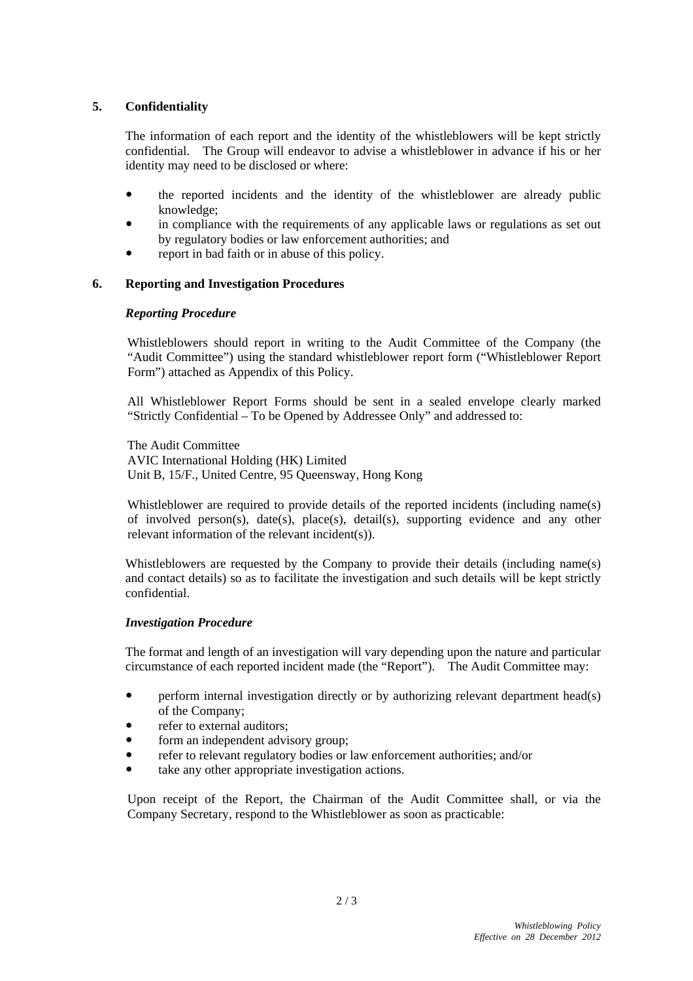## **5. Confidentiality**

The information of each report and the identity of the whistleblowers will be kept strictly confidential. The Group will endeavor to advise a whistleblower in advance if his or her identity may need to be disclosed or where:

- the reported incidents and the identity of the whistleblower are already public knowledge;
- in compliance with the requirements of any applicable laws or regulations as set out by regulatory bodies or law enforcement authorities; and
- report in bad faith or in abuse of this policy.

### **6. Reporting and Investigation Procedures**

## *Reporting Procedure*

Whistleblowers should report in writing to the Audit Committee of the Company (the "Audit Committee") using the standard whistleblower report form ("Whistleblower Report Form") attached as Appendix of this Policy.

All Whistleblower Report Forms should be sent in a sealed envelope clearly marked "Strictly Confidential – To be Opened by Addressee Only" and addressed to:

The Audit Committee AVIC International Holding (HK) Limited Unit B, 15/F., United Centre, 95 Queensway, Hong Kong

Whistleblower are required to provide details of the reported incidents (including name(s) of involved person(s), date(s), place(s), detail(s), supporting evidence and any other relevant information of the relevant incident(s)).

Whistleblowers are requested by the Company to provide their details (including name(s) and contact details) so as to facilitate the investigation and such details will be kept strictly confidential.

### *Investigation Procedure*

The format and length of an investigation will vary depending upon the nature and particular circumstance of each reported incident made (the "Report"). The Audit Committee may:

- perform internal investigation directly or by authorizing relevant department head(s) of the Company;
- refer to external auditors;
- form an independent advisory group;
- refer to relevant regulatory bodies or law enforcement authorities; and/or
- take any other appropriate investigation actions.

Upon receipt of the Report, the Chairman of the Audit Committee shall, or via the Company Secretary, respond to the Whistleblower as soon as practicable: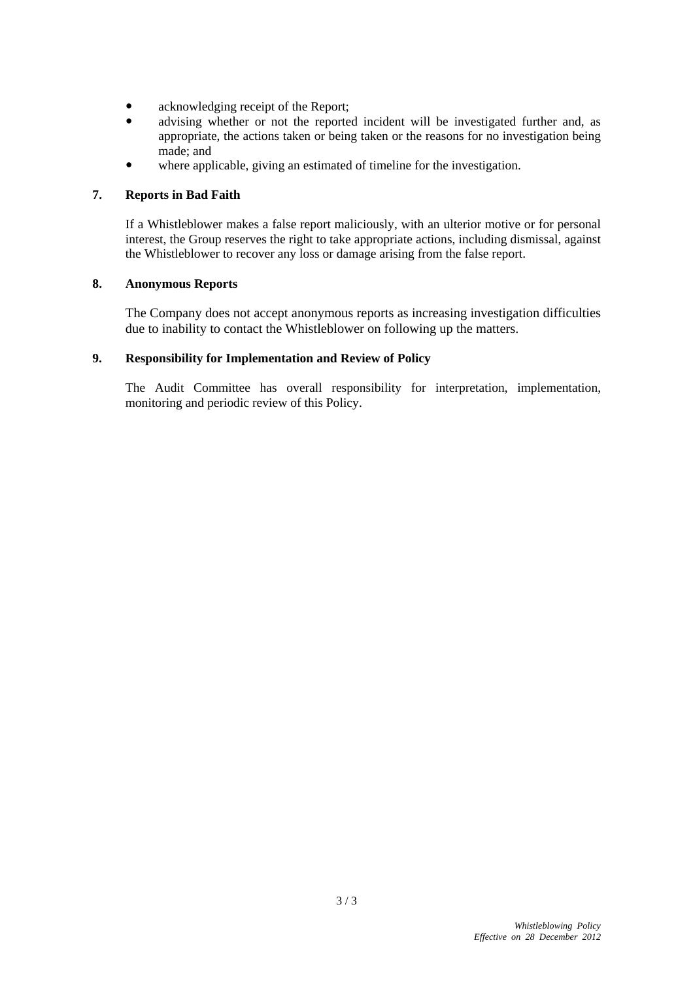- acknowledging receipt of the Report;
- advising whether or not the reported incident will be investigated further and, as appropriate, the actions taken or being taken or the reasons for no investigation being made; and
- where applicable, giving an estimated of timeline for the investigation.

## **7. Reports in Bad Faith**

If a Whistleblower makes a false report maliciously, with an ulterior motive or for personal interest, the Group reserves the right to take appropriate actions, including dismissal, against the Whistleblower to recover any loss or damage arising from the false report.

### **8. Anonymous Reports**

The Company does not accept anonymous reports as increasing investigation difficulties due to inability to contact the Whistleblower on following up the matters.

## **9. Responsibility for Implementation and Review of Policy**

The Audit Committee has overall responsibility for interpretation, implementation, monitoring and periodic review of this Policy.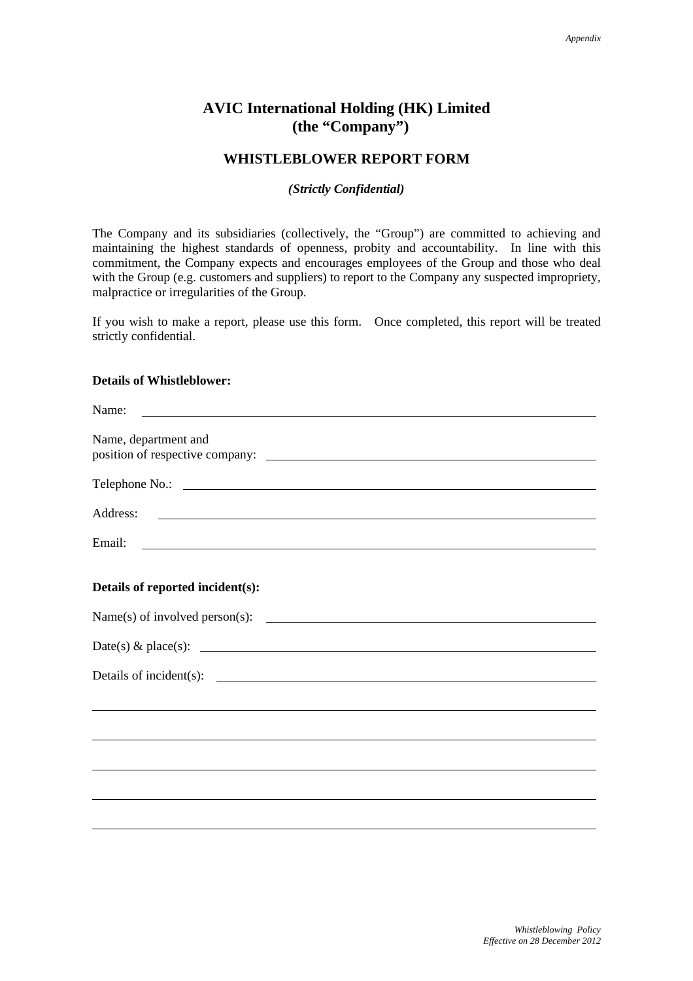## **AVIC International Holding (HK) Limited (the "Company")**

## **WHISTLEBLOWER REPORT FORM**

#### *(Strictly Confidential)*

The Company and its subsidiaries (collectively, the "Group") are committed to achieving and maintaining the highest standards of openness, probity and accountability. In line with this commitment, the Company expects and encourages employees of the Group and those who deal with the Group (e.g. customers and suppliers) to report to the Company any suspected impropriety, malpractice or irregularities of the Group.

If you wish to make a report, please use this form. Once completed, this report will be treated strictly confidential.

## **Details of Whistleblower:**

| Name:                                                                                                                                                                                                                                |
|--------------------------------------------------------------------------------------------------------------------------------------------------------------------------------------------------------------------------------------|
| Name, department and                                                                                                                                                                                                                 |
| Telephone No.: <u>New York: Website: New York: New York: New York: New York: New York: New York: New York: New York: New York: New York: New York: New York: New York: New York: New York: New York: New York: New York: New Yor</u> |
|                                                                                                                                                                                                                                      |
| Email: <u>International Communication</u> Construction Communication Communication Communication Communication Communication                                                                                                         |
| Details of reported incident(s):                                                                                                                                                                                                     |
|                                                                                                                                                                                                                                      |
| Date(s) & place(s): $\qquad \qquad$                                                                                                                                                                                                  |
|                                                                                                                                                                                                                                      |
|                                                                                                                                                                                                                                      |
|                                                                                                                                                                                                                                      |
|                                                                                                                                                                                                                                      |
|                                                                                                                                                                                                                                      |
|                                                                                                                                                                                                                                      |